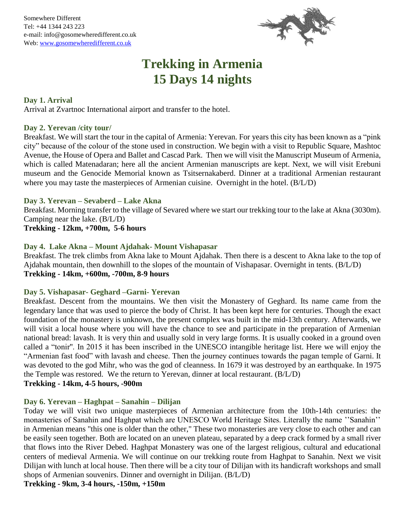

# **Trekking in Armenia 15 Days 14 nights**

## **Day 1. Arrival**

Arrival at Zvartnoc International airport and transfer to the hotel.

### **Day 2. Yerevan /city tour/**

Breakfast. We will start the tour in the capital of Armenia: Yerevan. For years this city has been known as a "pink city" because of the colour of the stone used in construction. We begin with a visit to Republic Square, Mashtoc Avenue, the House of Opera and Ballet and Cascad Park. Then we will visit the Manuscript Museum of Armenia, which is called Matenadaran; here all the ancient Armenian manuscripts are kept. Next, we will visit Erebuni museum and the Genocide Memorial known as Tsitsernakaberd. Dinner at a traditional Armenian restaurant where you may taste the masterpieces of Armenian cuisine. Overnight in the hotel. (B/L/D)

#### **Day 3. Yerevan – Sevaberd – Lake Akna**

Breakfast. Morning transfer to the village of Sevared where we start our trekking tour to the lake at Akna (3030m). Camping near the lake. (B/L/D) **Trekking - 12km, +700m, 5-6 hours**

## **Day 4. Lake Akna – Mount Ajdahak- Mount Vishapasar**

Breakfast. The trek climbs from Akna lake to Mount Ajdahak. Then there is a descent to Akna lake to the top of Ajdahak mountain, then downhill to the slopes of the mountain of Vishapasar. Overnight in tents. (B/L/D) **Trekking - 14km, +600m, -700m, 8-9 hours**

# **Day 5. Vishapasar- Geghard –Garni- Yerevan**

Breakfast. Descent from the mountains. We then visit the Monastery of Geghard. Its name came from the legendary lance that was used to pierce the body of Christ. It has been kept here for centuries. Though the exact foundation of the monastery is unknown, the present complex was built in the mid-13th century. Afterwards, we will visit a local house where you will have the chance to see and participate in the preparation of Armenian national bread: lavash. It is very thin and usually sold in very large forms. It is usually cooked in a ground oven called a "tonir''. In 2015 it has been inscribed in the UNESCO intangible heritage list. Here we will enjoy the "Armenian fast food" with lavash and cheese. Then the journey continues towards the pagan temple of Garni. It was devoted to the god Mihr, who was the god of cleanness. In 1679 it was destroyed by an earthquake. In 1975 the Temple was restored. We the return to Yerevan, dinner at local restaurant. (B/L/D) **Trekking - 14km, 4-5 hours, -900m** 

# **Day 6. Yerevan – Haghpat – Sanahin – Dilijan**

Today we will visit two unique masterpieces of Armenian architecture from the 10th-14th centuries: the monasteries of Sanahin and Haghpat which are UNESCO World Heritage Sites. Literally the name ''Sanahin'' in Armenian means "this one is older than the other," These two monasteries are very close to each other and can be easily seen together. Both are located on an uneven plateau, separated by a deep crack formed by a small river that flows into the River Debed. Haghpat Monastery was one of the largest religious, cultural and educational centers of medieval Armenia. We will continue on our trekking route from Haghpat to Sanahin. Next we visit Dilijan with lunch at local house. Then there will be a city tour of Dilijan with its handicraft workshops and small shops of Armenian souvenirs. Dinner and overnight in Dilijan. (B/L/D)

**Trekking - 9km, 3-4 hours, -150m, +150m**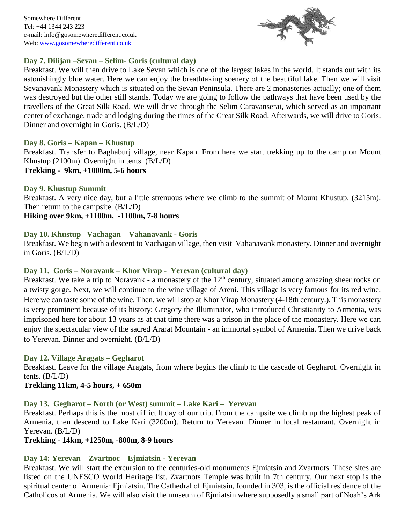Somewhere Different Tel: +44 1344 243 223 e-mail: info@gosomewheredifferent.co.uk Web: [www.gosomewheredifferent.co.uk](http://www.gosomewheredifferent.co.uk/)



## **Day 7. Dilijan –Sevan – Selim- Goris (cultural day)**

Breakfast. We will then drive to Lake Sevan which is one of the largest lakes in the world. It stands out with its astonishingly blue water. Here we can enjoy the breathtaking scenery of the beautiful lake. Then we will visit Sevanavank Monastery which is situated on the Sevan Peninsula. There are 2 monasteries actually; one of them was destroyed but the other still stands. Today we are going to follow the pathways that have been used by the travellers of the Great Silk Road. We will drive through the Selim Caravanserai, which served as an important center of exchange, trade and lodging during the times of the Great Silk Road. Afterwards, we will drive to Goris. Dinner and overnight in Goris. (B/L/D)

## **Day 8. Goris – Kapan – Khustup**

Breakfast. Transfer to Baghaburj village, near Kapan. From here we start trekking up to the camp on Mount Khustup (2100m). Overnight in tents. (B/L/D)

**Trekking - 9km, +1000m, 5-6 hours**

## **Day 9. Khustup Summit**

Breakfast. A very nice day, but a little strenuous where we climb to the summit of Mount Khustup. (3215m). Then return to the campsite. (B/L/D)

**Hiking over 9km, +1100m, -1100m, 7-8 hours**

## **Day 10. Khustup –Vachagan – Vahanavank - Goris**

Breakfast. We begin with a descent to Vachagan village, then visit Vahanavank monastery. Dinner and overnight in Goris. (B/L/D)

# **Day 11. Goris – Noravank – Khor Virap - Yerevan (cultural day)**

Breakfast. We take a trip to Noravank - a monastery of the 12<sup>th</sup> century, situated among amazing sheer rocks on a twisty gorge. Next, we will continue to the wine village of Areni. This village is very famous for its red wine. Here we can taste some of the wine. Then, we will stop at Khor Virap Monastery (4-18th century.). This monastery is very prominent because of its history; Gregory the Illuminator, who introduced Christianity to Armenia, was imprisoned here for about 13 years as at that time there was a prison in the place of the monastery. Here we can enjoy the spectacular view of the sacred Ararat Mountain - an immortal symbol of Armenia. Then we drive back to Yerevan. Dinner and overnight. (B/L/D)

#### **Day 12. Village Aragats – Gegharot**

Breakfast. Leave for the village Aragats, from where begins the climb to the cascade of Gegharot. Overnight in tents.  $(B/L/D)$ 

# **Trekking 11km, 4-5 hours, + 650m**

# **Day 13. Gegharot – North (or West) summit – Lake Kari – Yerevan**

Breakfast. Perhaps this is the most difficult day of our trip. From the campsite we climb up the highest peak of Armenia, then descend to Lake Kari (3200m). Return to Yerevan. Dinner in local restaurant. Overnight in Yerevan. (B/L/D)

**Trekking - 14km, +1250m, -800m, 8-9 hours**

# **Day 14: Yerevan – Zvartnoc – Ejmiatsin - Yerevan**

Breakfast. We will start the excursion to the centuries-old monuments Ejmiatsin and Zvartnots. These sites are listed on the UNESCO World Heritage list. Zvartnots Temple was built in 7th century. Our next stop is the spiritual center of Armenia: Ejmiatsin. The Cathedral of Ejmiatsin, founded in 303, is the official residence of the Catholicos of Armenia. We will also visit the museum of Ejmiatsin where supposedly a small part of Noah's Ark